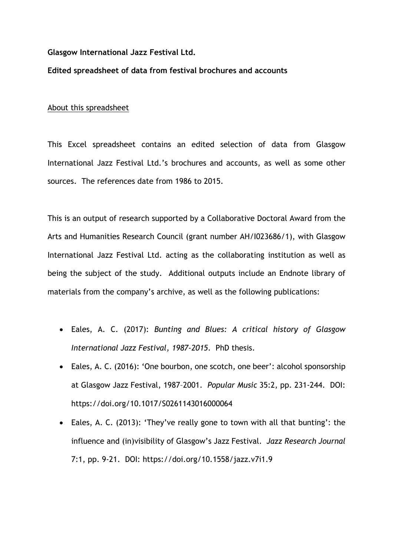## **Glasgow International Jazz Festival Ltd.**

## **Edited spreadsheet of data from festival brochures and accounts**

## About this spreadsheet

This Excel spreadsheet contains an edited selection of data from Glasgow International Jazz Festival Ltd.'s brochures and accounts, as well as some other sources. The references date from 1986 to 2015.

This is an output of research supported by a Collaborative Doctoral Award from the Arts and Humanities Research Council (grant number AH/I023686/1), with Glasgow International Jazz Festival Ltd. acting as the collaborating institution as well as being the subject of the study. Additional outputs include an Endnote library of materials from the company's archive, as well as the following publications:

- Eales, A. C. (2017): *Bunting and Blues: A critical history of Glasgow International Jazz Festival, 1987-2015*. PhD thesis.
- Eales, A. C. (2016): 'One bourbon, one scotch, one beer': alcohol sponsorship at Glasgow Jazz Festival, 1987–2001. *Popular Music* 35:2, pp. 231-244. DOI: https://doi.org/10.1017/S0261143016000064
- Eales, A. C. (2013): 'They've really gone to town with all that bunting': the influence and (in)visibility of Glasgow's Jazz Festival. *Jazz Research Journal* 7:1, pp. 9-21. DOI: https://doi.org/10.1558/jazz.v7i1.9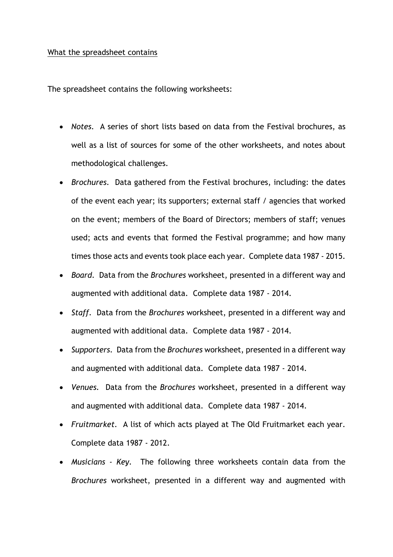## What the spreadsheet contains

The spreadsheet contains the following worksheets:

- *Notes.* A series of short lists based on data from the Festival brochures, as well as a list of sources for some of the other worksheets, and notes about methodological challenges.
- *Brochures.* Data gathered from the Festival brochures, including: the dates of the event each year; its supporters; external staff / agencies that worked on the event; members of the Board of Directors; members of staff; venues used; acts and events that formed the Festival programme; and how many times those acts and events took place each year. Complete data 1987 - 2015.
- *Board.* Data from the *Brochures* worksheet, presented in a different way and augmented with additional data. Complete data 1987 - 2014.
- *Staff.* Data from the *Brochures* worksheet, presented in a different way and augmented with additional data. Complete data 1987 - 2014.
- *Supporters.* Data from the *Brochures* worksheet, presented in a different way and augmented with additional data. Complete data 1987 - 2014.
- *Venues.* Data from the *Brochures* worksheet, presented in a different way and augmented with additional data. Complete data 1987 - 2014.
- *Fruitmarket.* A list of which acts played at The Old Fruitmarket each year. Complete data 1987 - 2012.
- *Musicians - Key.* The following three worksheets contain data from the *Brochures* worksheet, presented in a different way and augmented with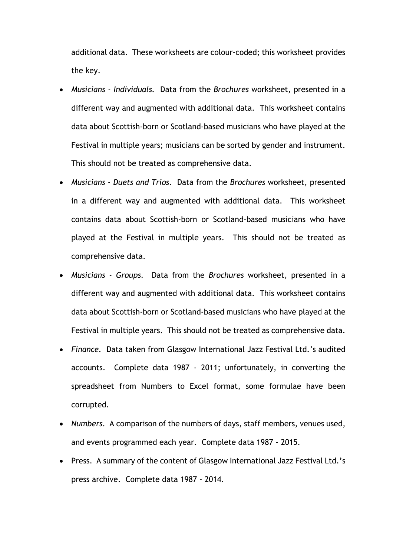additional data. These worksheets are colour-coded; this worksheet provides the key.

- *Musicians - Individuals.* Data from the *Brochures* worksheet, presented in a different way and augmented with additional data. This worksheet contains data about Scottish-born or Scotland-based musicians who have played at the Festival in multiple years; musicians can be sorted by gender and instrument. This should not be treated as comprehensive data.
- *Musicians - Duets and Trios.* Data from the *Brochures* worksheet, presented in a different way and augmented with additional data. This worksheet contains data about Scottish-born or Scotland-based musicians who have played at the Festival in multiple years. This should not be treated as comprehensive data.
- *Musicians - Groups.* Data from the *Brochures* worksheet, presented in a different way and augmented with additional data. This worksheet contains data about Scottish-born or Scotland-based musicians who have played at the Festival in multiple years. This should not be treated as comprehensive data.
- *Finance.* Data taken from Glasgow International Jazz Festival Ltd.'s audited accounts. Complete data 1987 - 2011; unfortunately, in converting the spreadsheet from Numbers to Excel format, some formulae have been corrupted.
- *Numbers.* A comparison of the numbers of days, staff members, venues used, and events programmed each year. Complete data 1987 - 2015.
- Press. A summary of the content of Glasgow International Jazz Festival Ltd.'s press archive. Complete data 1987 - 2014.